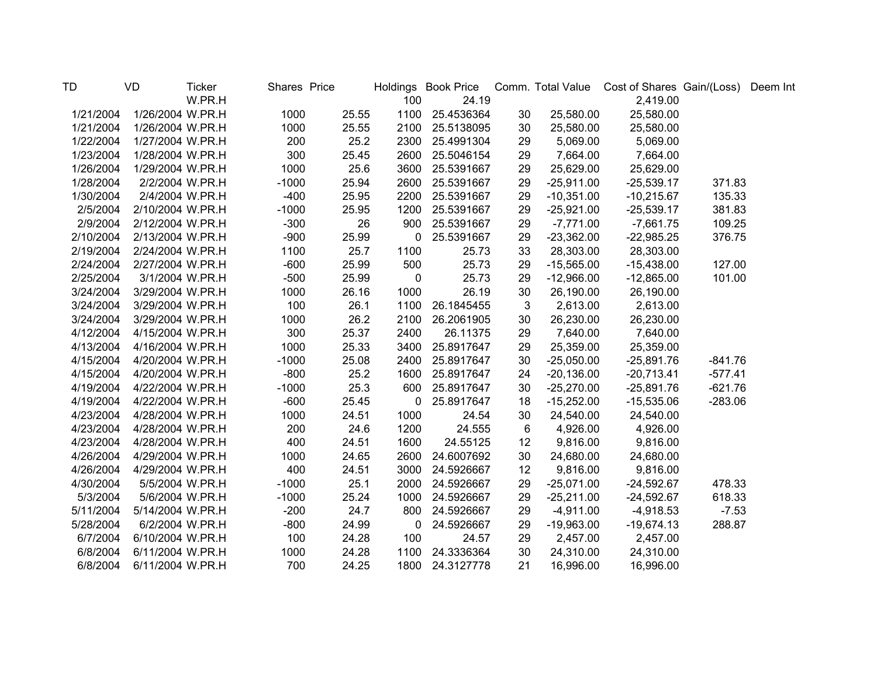| <b>TD</b> | <b>VD</b>        | <b>Ticker</b> | Shares Price |       |             |            |    |              | Holdings Book Price Comm. Total Value Cost of Shares Gain/(Loss) |           | Deem Int |
|-----------|------------------|---------------|--------------|-------|-------------|------------|----|--------------|------------------------------------------------------------------|-----------|----------|
|           |                  | W.PR.H        |              |       | 100         | 24.19      |    |              | 2,419.00                                                         |           |          |
| 1/21/2004 | 1/26/2004 W.PR.H |               | 1000         | 25.55 | 1100        | 25.4536364 | 30 | 25,580.00    | 25,580.00                                                        |           |          |
| 1/21/2004 | 1/26/2004 W.PR.H |               | 1000         | 25.55 | 2100        | 25.5138095 | 30 | 25,580.00    | 25,580.00                                                        |           |          |
| 1/22/2004 | 1/27/2004 W.PR.H |               | 200          | 25.2  | 2300        | 25.4991304 | 29 | 5,069.00     | 5,069.00                                                         |           |          |
| 1/23/2004 | 1/28/2004 W.PR.H |               | 300          | 25.45 | 2600        | 25.5046154 | 29 | 7,664.00     | 7,664.00                                                         |           |          |
| 1/26/2004 | 1/29/2004 W.PR.H |               | 1000         | 25.6  | 3600        | 25.5391667 | 29 | 25,629.00    | 25,629.00                                                        |           |          |
| 1/28/2004 | 2/2/2004 W.PR.H  |               | $-1000$      | 25.94 | 2600        | 25.5391667 | 29 | $-25,911.00$ | $-25,539.17$                                                     | 371.83    |          |
| 1/30/2004 | 2/4/2004 W.PR.H  |               | $-400$       | 25.95 | 2200        | 25.5391667 | 29 | $-10,351.00$ | $-10,215.67$                                                     | 135.33    |          |
| 2/5/2004  | 2/10/2004 W.PR.H |               | $-1000$      | 25.95 | 1200        | 25.5391667 | 29 | $-25,921.00$ | $-25,539.17$                                                     | 381.83    |          |
| 2/9/2004  | 2/12/2004 W.PR.H |               | $-300$       | 26    | 900         | 25.5391667 | 29 | $-7,771.00$  | $-7,661.75$                                                      | 109.25    |          |
| 2/10/2004 | 2/13/2004 W.PR.H |               | $-900$       | 25.99 | 0           | 25.5391667 | 29 | $-23,362.00$ | $-22,985.25$                                                     | 376.75    |          |
| 2/19/2004 | 2/24/2004 W.PR.H |               | 1100         | 25.7  | 1100        | 25.73      | 33 | 28,303.00    | 28,303.00                                                        |           |          |
| 2/24/2004 | 2/27/2004 W.PR.H |               | $-600$       | 25.99 | 500         | 25.73      | 29 | $-15,565.00$ | $-15,438.00$                                                     | 127.00    |          |
| 2/25/2004 | 3/1/2004 W.PR.H  |               | $-500$       | 25.99 | 0           | 25.73      | 29 | $-12,966.00$ | $-12,865.00$                                                     | 101.00    |          |
| 3/24/2004 | 3/29/2004 W.PR.H |               | 1000         | 26.16 | 1000        | 26.19      | 30 | 26,190.00    | 26,190.00                                                        |           |          |
| 3/24/2004 | 3/29/2004 W.PR.H |               | 100          | 26.1  | 1100        | 26.1845455 | 3  | 2,613.00     | 2,613.00                                                         |           |          |
| 3/24/2004 | 3/29/2004 W.PR.H |               | 1000         | 26.2  | 2100        | 26.2061905 | 30 | 26,230.00    | 26,230.00                                                        |           |          |
| 4/12/2004 | 4/15/2004 W.PR.H |               | 300          | 25.37 | 2400        | 26.11375   | 29 | 7,640.00     | 7,640.00                                                         |           |          |
| 4/13/2004 | 4/16/2004 W.PR.H |               | 1000         | 25.33 | 3400        | 25.8917647 | 29 | 25,359.00    | 25,359.00                                                        |           |          |
| 4/15/2004 | 4/20/2004 W.PR.H |               | $-1000$      | 25.08 | 2400        | 25.8917647 | 30 | $-25,050.00$ | $-25,891.76$                                                     | $-841.76$ |          |
| 4/15/2004 | 4/20/2004 W.PR.H |               | $-800$       | 25.2  | 1600        | 25.8917647 | 24 | $-20,136.00$ | $-20,713.41$                                                     | $-577.41$ |          |
| 4/19/2004 | 4/22/2004 W.PR.H |               | $-1000$      | 25.3  | 600         | 25.8917647 | 30 | $-25,270.00$ | $-25,891.76$                                                     | $-621.76$ |          |
| 4/19/2004 | 4/22/2004 W.PR.H |               | $-600$       | 25.45 | $\mathbf 0$ | 25.8917647 | 18 | $-15,252.00$ | $-15,535.06$                                                     | $-283.06$ |          |
| 4/23/2004 | 4/28/2004 W.PR.H |               | 1000         | 24.51 | 1000        | 24.54      | 30 | 24,540.00    | 24,540.00                                                        |           |          |
| 4/23/2004 | 4/28/2004 W.PR.H |               | 200          | 24.6  | 1200        | 24.555     | 6  | 4,926.00     | 4,926.00                                                         |           |          |
| 4/23/2004 | 4/28/2004 W.PR.H |               | 400          | 24.51 | 1600        | 24.55125   | 12 | 9,816.00     | 9,816.00                                                         |           |          |
| 4/26/2004 | 4/29/2004 W.PR.H |               | 1000         | 24.65 | 2600        | 24.6007692 | 30 | 24,680.00    | 24,680.00                                                        |           |          |
| 4/26/2004 | 4/29/2004 W.PR.H |               | 400          | 24.51 | 3000        | 24.5926667 | 12 | 9,816.00     | 9,816.00                                                         |           |          |
| 4/30/2004 | 5/5/2004 W.PR.H  |               | $-1000$      | 25.1  | 2000        | 24.5926667 | 29 | $-25,071.00$ | $-24,592.67$                                                     | 478.33    |          |
| 5/3/2004  | 5/6/2004 W.PR.H  |               | $-1000$      | 25.24 | 1000        | 24.5926667 | 29 | $-25,211.00$ | $-24,592.67$                                                     | 618.33    |          |
| 5/11/2004 | 5/14/2004 W.PR.H |               | $-200$       | 24.7  | 800         | 24.5926667 | 29 | $-4,911.00$  | $-4,918.53$                                                      | $-7.53$   |          |
| 5/28/2004 | 6/2/2004 W.PR.H  |               | $-800$       | 24.99 | 0           | 24.5926667 | 29 | $-19,963.00$ | $-19,674.13$                                                     | 288.87    |          |
| 6/7/2004  | 6/10/2004 W.PR.H |               | 100          | 24.28 | 100         | 24.57      | 29 | 2,457.00     | 2,457.00                                                         |           |          |
| 6/8/2004  | 6/11/2004 W.PR.H |               | 1000         | 24.28 | 1100        | 24.3336364 | 30 | 24,310.00    | 24,310.00                                                        |           |          |
| 6/8/2004  | 6/11/2004 W.PR.H |               | 700          | 24.25 | 1800        | 24.3127778 | 21 | 16,996.00    | 16,996.00                                                        |           |          |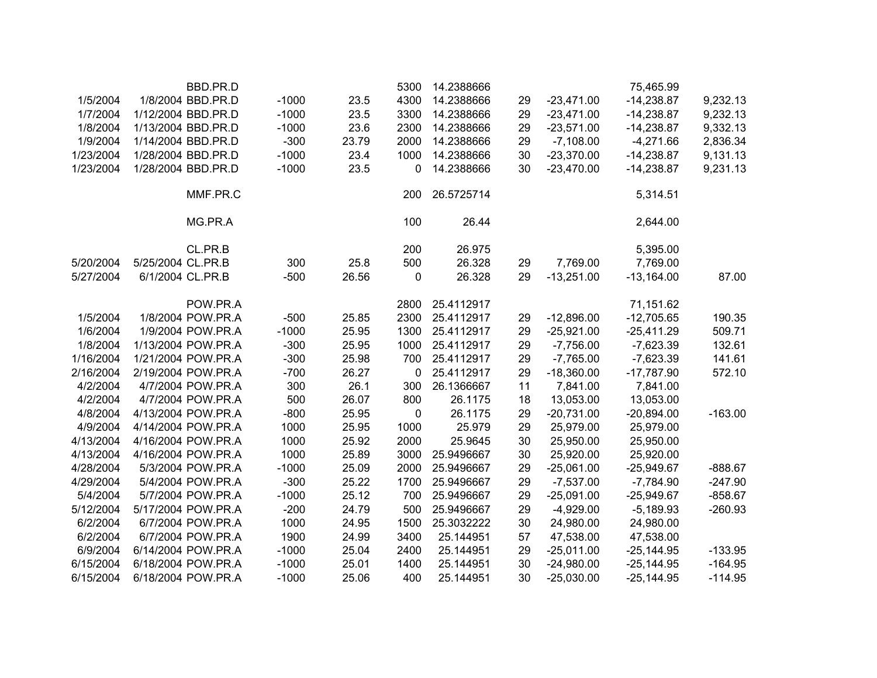|           | BBD.PR.D           |         |       | 5300        | 14.2388666 |    |              | 75,465.99    |           |
|-----------|--------------------|---------|-------|-------------|------------|----|--------------|--------------|-----------|
| 1/5/2004  | 1/8/2004 BBD.PR.D  | $-1000$ | 23.5  | 4300        | 14.2388666 | 29 | $-23,471.00$ | $-14,238.87$ | 9,232.13  |
| 1/7/2004  | 1/12/2004 BBD.PR.D | $-1000$ | 23.5  | 3300        | 14.2388666 | 29 | $-23,471.00$ | $-14,238.87$ | 9,232.13  |
| 1/8/2004  | 1/13/2004 BBD.PR.D | $-1000$ | 23.6  | 2300        | 14.2388666 | 29 | $-23,571.00$ | $-14,238.87$ | 9,332.13  |
| 1/9/2004  | 1/14/2004 BBD.PR.D | $-300$  | 23.79 | 2000        | 14.2388666 | 29 | $-7,108.00$  | $-4,271.66$  | 2,836.34  |
| 1/23/2004 | 1/28/2004 BBD.PR.D | $-1000$ | 23.4  | 1000        | 14.2388666 | 30 | $-23,370.00$ | $-14,238.87$ | 9,131.13  |
| 1/23/2004 | 1/28/2004 BBD.PR.D | $-1000$ | 23.5  | 0           | 14.2388666 | 30 | $-23,470.00$ | $-14,238.87$ | 9,231.13  |
|           | MMF.PR.C           |         |       | 200         | 26.5725714 |    |              | 5,314.51     |           |
|           | MG.PR.A            |         |       | 100         | 26.44      |    |              | 2,644.00     |           |
|           | CL.PR.B            |         |       | 200         | 26.975     |    |              | 5,395.00     |           |
| 5/20/2004 | 5/25/2004 CL.PR.B  | 300     | 25.8  | 500         | 26.328     | 29 | 7,769.00     | 7,769.00     |           |
| 5/27/2004 | 6/1/2004 CL.PR.B   | $-500$  | 26.56 | $\mathbf 0$ | 26.328     | 29 | $-13,251.00$ | $-13,164.00$ | 87.00     |
|           | POW.PR.A           |         |       | 2800        | 25.4112917 |    |              | 71,151.62    |           |
| 1/5/2004  | 1/8/2004 POW.PR.A  | $-500$  | 25.85 | 2300        | 25.4112917 | 29 | $-12,896.00$ | $-12,705.65$ | 190.35    |
| 1/6/2004  | 1/9/2004 POW.PR.A  | $-1000$ | 25.95 | 1300        | 25.4112917 | 29 | $-25,921.00$ | $-25,411.29$ | 509.71    |
| 1/8/2004  | 1/13/2004 POW.PR.A | $-300$  | 25.95 | 1000        | 25.4112917 | 29 | $-7,756.00$  | $-7,623.39$  | 132.61    |
| 1/16/2004 | 1/21/2004 POW.PR.A | $-300$  | 25.98 | 700         | 25.4112917 | 29 | $-7,765.00$  | $-7,623.39$  | 141.61    |
| 2/16/2004 | 2/19/2004 POW.PR.A | $-700$  | 26.27 | 0           | 25.4112917 | 29 | $-18,360.00$ | $-17,787.90$ | 572.10    |
| 4/2/2004  | 4/7/2004 POW.PR.A  | 300     | 26.1  | 300         | 26.1366667 | 11 | 7,841.00     | 7,841.00     |           |
| 4/2/2004  | 4/7/2004 POW.PR.A  | 500     | 26.07 | 800         | 26.1175    | 18 | 13,053.00    | 13,053.00    |           |
| 4/8/2004  | 4/13/2004 POW.PR.A | $-800$  | 25.95 | 0           | 26.1175    | 29 | $-20,731.00$ | $-20,894.00$ | $-163.00$ |
| 4/9/2004  | 4/14/2004 POW.PR.A | 1000    | 25.95 | 1000        | 25.979     | 29 | 25,979.00    | 25,979.00    |           |
| 4/13/2004 | 4/16/2004 POW.PR.A | 1000    | 25.92 | 2000        | 25.9645    | 30 | 25,950.00    | 25,950.00    |           |
| 4/13/2004 | 4/16/2004 POW.PR.A | 1000    | 25.89 | 3000        | 25.9496667 | 30 | 25,920.00    | 25,920.00    |           |
| 4/28/2004 | 5/3/2004 POW.PR.A  | $-1000$ | 25.09 | 2000        | 25.9496667 | 29 | $-25,061.00$ | $-25,949.67$ | $-888.67$ |
| 4/29/2004 | 5/4/2004 POW.PR.A  | $-300$  | 25.22 | 1700        | 25.9496667 | 29 | $-7,537.00$  | $-7,784.90$  | $-247.90$ |
| 5/4/2004  | 5/7/2004 POW.PR.A  | $-1000$ | 25.12 | 700         | 25.9496667 | 29 | $-25,091.00$ | $-25,949.67$ | $-858.67$ |
| 5/12/2004 | 5/17/2004 POW.PR.A | $-200$  | 24.79 | 500         | 25.9496667 | 29 | $-4,929.00$  | $-5,189.93$  | $-260.93$ |
| 6/2/2004  | 6/7/2004 POW.PR.A  | 1000    | 24.95 | 1500        | 25.3032222 | 30 | 24,980.00    | 24,980.00    |           |
| 6/2/2004  | 6/7/2004 POW.PR.A  | 1900    | 24.99 | 3400        | 25.144951  | 57 | 47,538.00    | 47,538.00    |           |
| 6/9/2004  | 6/14/2004 POW.PR.A | $-1000$ | 25.04 | 2400        | 25.144951  | 29 | $-25,011.00$ | $-25,144.95$ | $-133.95$ |
| 6/15/2004 | 6/18/2004 POW.PR.A | $-1000$ | 25.01 | 1400        | 25.144951  | 30 | $-24,980.00$ | $-25,144.95$ | $-164.95$ |
| 6/15/2004 | 6/18/2004 POW.PR.A | $-1000$ | 25.06 | 400         | 25.144951  | 30 | $-25,030.00$ | $-25,144.95$ | $-114.95$ |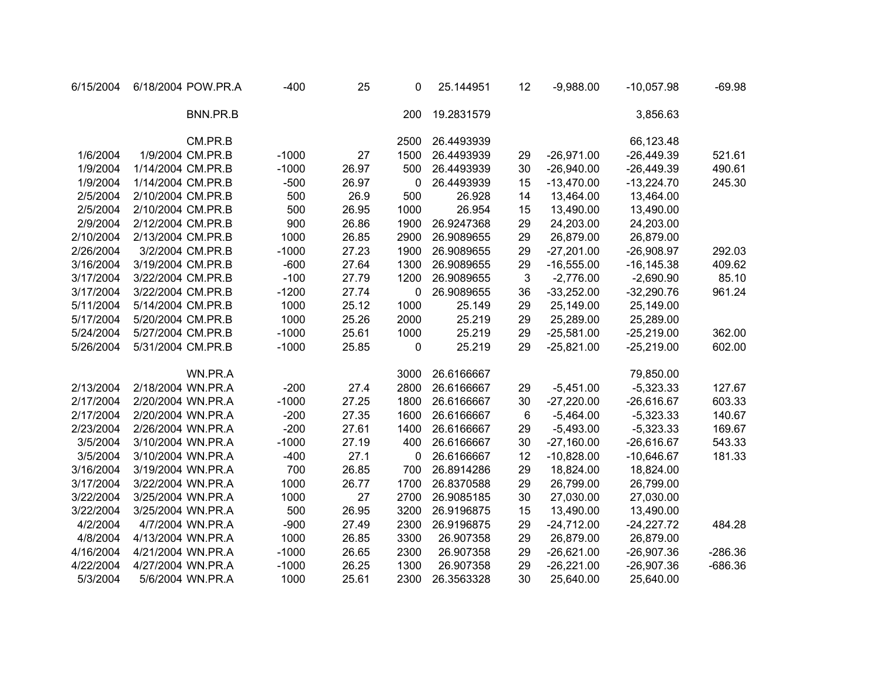| 6/15/2004 | 6/18/2004 POW.PR.A | $-400$  | 25    | 0    | 25.144951  | 12 | $-9,988.00$  | $-10,057.98$  | $-69.98$  |
|-----------|--------------------|---------|-------|------|------------|----|--------------|---------------|-----------|
|           | BNN.PR.B           |         |       | 200  | 19.2831579 |    |              | 3,856.63      |           |
|           | CM.PR.B            |         |       | 2500 | 26.4493939 |    |              | 66,123.48     |           |
| 1/6/2004  | 1/9/2004 CM.PR.B   | $-1000$ | 27    | 1500 | 26.4493939 | 29 | $-26,971.00$ | $-26,449.39$  | 521.61    |
| 1/9/2004  | 1/14/2004 CM.PR.B  | $-1000$ | 26.97 | 500  | 26.4493939 | 30 | $-26,940.00$ | $-26,449.39$  | 490.61    |
| 1/9/2004  | 1/14/2004 CM.PR.B  | $-500$  | 26.97 | 0    | 26.4493939 | 15 | $-13,470.00$ | $-13,224.70$  | 245.30    |
| 2/5/2004  | 2/10/2004 CM.PR.B  | 500     | 26.9  | 500  | 26.928     | 14 | 13,464.00    | 13,464.00     |           |
| 2/5/2004  | 2/10/2004 CM.PR.B  | 500     | 26.95 | 1000 | 26.954     | 15 | 13,490.00    | 13,490.00     |           |
| 2/9/2004  | 2/12/2004 CM.PR.B  | 900     | 26.86 | 1900 | 26.9247368 | 29 | 24,203.00    | 24,203.00     |           |
| 2/10/2004 | 2/13/2004 CM.PR.B  | 1000    | 26.85 | 2900 | 26.9089655 | 29 | 26,879.00    | 26,879.00     |           |
| 2/26/2004 | 3/2/2004 CM.PR.B   | $-1000$ | 27.23 | 1900 | 26.9089655 | 29 | $-27,201.00$ | $-26,908.97$  | 292.03    |
| 3/16/2004 | 3/19/2004 CM.PR.B  | $-600$  | 27.64 | 1300 | 26.9089655 | 29 | $-16,555.00$ | $-16, 145.38$ | 409.62    |
| 3/17/2004 | 3/22/2004 CM.PR.B  | $-100$  | 27.79 | 1200 | 26.9089655 | 3  | $-2,776.00$  | $-2,690.90$   | 85.10     |
| 3/17/2004 | 3/22/2004 CM.PR.B  | $-1200$ | 27.74 | 0    | 26.9089655 | 36 | $-33,252.00$ | $-32,290.76$  | 961.24    |
| 5/11/2004 | 5/14/2004 CM.PR.B  | 1000    | 25.12 | 1000 | 25.149     | 29 | 25,149.00    | 25,149.00     |           |
| 5/17/2004 | 5/20/2004 CM.PR.B  | 1000    | 25.26 | 2000 | 25.219     | 29 | 25,289.00    | 25,289.00     |           |
| 5/24/2004 | 5/27/2004 CM.PR.B  | $-1000$ | 25.61 | 1000 | 25.219     | 29 | $-25,581.00$ | $-25,219.00$  | 362.00    |
| 5/26/2004 | 5/31/2004 CM.PR.B  | $-1000$ | 25.85 | 0    | 25.219     | 29 | $-25,821.00$ | $-25,219.00$  | 602.00    |
|           | WN.PR.A            |         |       | 3000 | 26.6166667 |    |              | 79,850.00     |           |
| 2/13/2004 | 2/18/2004 WN.PR.A  | $-200$  | 27.4  | 2800 | 26.6166667 | 29 | $-5,451.00$  | $-5,323.33$   | 127.67    |
| 2/17/2004 | 2/20/2004 WN.PR.A  | $-1000$ | 27.25 | 1800 | 26.6166667 | 30 | $-27,220.00$ | $-26,616.67$  | 603.33    |
| 2/17/2004 | 2/20/2004 WN.PR.A  | $-200$  | 27.35 | 1600 | 26.6166667 | 6  | $-5,464.00$  | $-5,323.33$   | 140.67    |
| 2/23/2004 | 2/26/2004 WN.PR.A  | $-200$  | 27.61 | 1400 | 26.6166667 | 29 | $-5,493.00$  | $-5,323.33$   | 169.67    |
| 3/5/2004  | 3/10/2004 WN.PR.A  | $-1000$ | 27.19 | 400  | 26.6166667 | 30 | $-27,160.00$ | $-26,616.67$  | 543.33    |
| 3/5/2004  | 3/10/2004 WN.PR.A  | $-400$  | 27.1  | 0    | 26.6166667 | 12 | $-10,828.00$ | $-10,646.67$  | 181.33    |
| 3/16/2004 | 3/19/2004 WN.PR.A  | 700     | 26.85 | 700  | 26.8914286 | 29 | 18,824.00    | 18,824.00     |           |
| 3/17/2004 | 3/22/2004 WN.PR.A  | 1000    | 26.77 | 1700 | 26.8370588 | 29 | 26,799.00    | 26,799.00     |           |
| 3/22/2004 | 3/25/2004 WN.PR.A  | 1000    | 27    | 2700 | 26.9085185 | 30 | 27,030.00    | 27,030.00     |           |
| 3/22/2004 | 3/25/2004 WN.PR.A  | 500     | 26.95 | 3200 | 26.9196875 | 15 | 13,490.00    | 13,490.00     |           |
| 4/2/2004  | 4/7/2004 WN.PR.A   | $-900$  | 27.49 | 2300 | 26.9196875 | 29 | $-24,712.00$ | $-24,227.72$  | 484.28    |
| 4/8/2004  | 4/13/2004 WN.PR.A  | 1000    | 26.85 | 3300 | 26.907358  | 29 | 26,879.00    | 26,879.00     |           |
| 4/16/2004 | 4/21/2004 WN.PR.A  | $-1000$ | 26.65 | 2300 | 26.907358  | 29 | $-26,621.00$ | $-26,907.36$  | $-286.36$ |
| 4/22/2004 | 4/27/2004 WN.PR.A  | $-1000$ | 26.25 | 1300 | 26.907358  | 29 | $-26,221.00$ | $-26,907.36$  | $-686.36$ |
| 5/3/2004  | 5/6/2004 WN.PR.A   | 1000    | 25.61 | 2300 | 26.3563328 | 30 | 25,640.00    | 25,640.00     |           |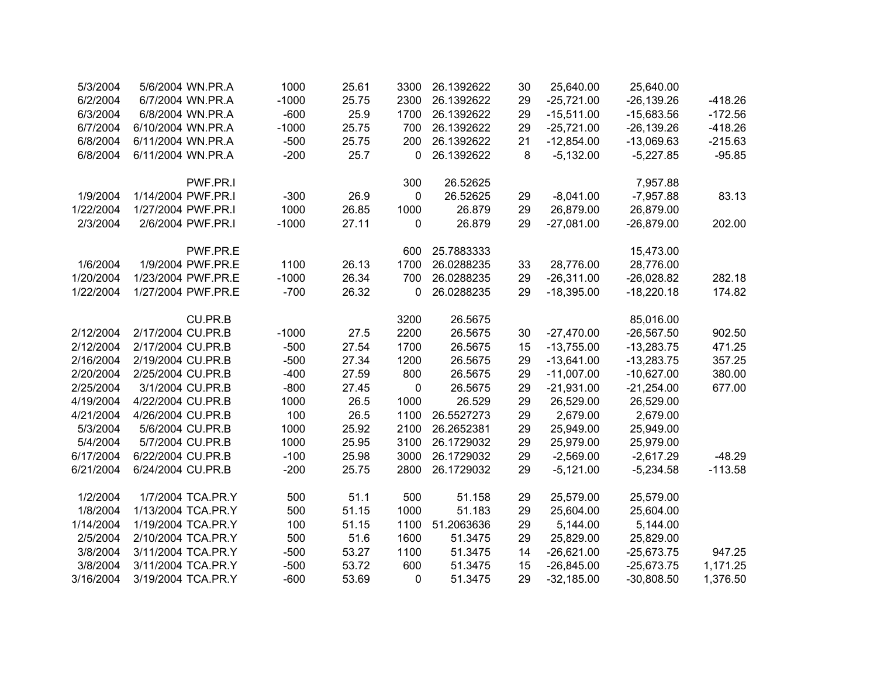| 5/3/2004  | 5/6/2004 WN.PR.A   | 1000    | 25.61 | 3300 | 26.1392622 | 30 | 25,640.00    | 25,640.00     |           |
|-----------|--------------------|---------|-------|------|------------|----|--------------|---------------|-----------|
| 6/2/2004  | 6/7/2004 WN.PR.A   | $-1000$ | 25.75 | 2300 | 26.1392622 | 29 | $-25,721.00$ | $-26, 139.26$ | $-418.26$ |
| 6/3/2004  | 6/8/2004 WN.PR.A   | $-600$  | 25.9  | 1700 | 26.1392622 | 29 | $-15,511.00$ | $-15,683.56$  | $-172.56$ |
| 6/7/2004  | 6/10/2004 WN.PR.A  | $-1000$ | 25.75 | 700  | 26.1392622 | 29 | $-25,721.00$ | $-26, 139.26$ | $-418.26$ |
| 6/8/2004  | 6/11/2004 WN.PR.A  | $-500$  | 25.75 | 200  | 26.1392622 | 21 | $-12,854.00$ | $-13,069.63$  | $-215.63$ |
| 6/8/2004  | 6/11/2004 WN.PR.A  | $-200$  | 25.7  | 0    | 26.1392622 | 8  | $-5,132.00$  | $-5,227.85$   | $-95.85$  |
|           | PWF.PR.I           |         |       | 300  | 26.52625   |    |              | 7,957.88      |           |
| 1/9/2004  | 1/14/2004 PWF.PR.I | $-300$  | 26.9  | 0    | 26.52625   | 29 | $-8,041.00$  | $-7,957.88$   | 83.13     |
| 1/22/2004 | 1/27/2004 PWF.PR.I | 1000    | 26.85 | 1000 | 26.879     | 29 | 26,879.00    | 26,879.00     |           |
| 2/3/2004  | 2/6/2004 PWF.PR.I  | $-1000$ | 27.11 | 0    | 26.879     | 29 | $-27,081.00$ | $-26,879.00$  | 202.00    |
|           | PWF.PR.E           |         |       | 600  | 25.7883333 |    |              | 15,473.00     |           |
| 1/6/2004  | 1/9/2004 PWF.PR.E  | 1100    | 26.13 | 1700 | 26.0288235 | 33 | 28,776.00    | 28,776.00     |           |
| 1/20/2004 | 1/23/2004 PWF.PR.E | $-1000$ | 26.34 | 700  | 26.0288235 | 29 | $-26,311.00$ | $-26,028.82$  | 282.18    |
| 1/22/2004 | 1/27/2004 PWF.PR.E | $-700$  | 26.32 | 0    | 26.0288235 | 29 | $-18,395.00$ | $-18,220.18$  | 174.82    |
|           | CU.PR.B            |         |       | 3200 | 26.5675    |    |              | 85,016.00     |           |
| 2/12/2004 | 2/17/2004 CU.PR.B  | $-1000$ | 27.5  | 2200 | 26.5675    | 30 | $-27,470.00$ | $-26,567.50$  | 902.50    |
| 2/12/2004 | 2/17/2004 CU.PR.B  | $-500$  | 27.54 | 1700 | 26.5675    | 15 | $-13,755.00$ | $-13,283.75$  | 471.25    |
| 2/16/2004 | 2/19/2004 CU.PR.B  | $-500$  | 27.34 | 1200 | 26.5675    | 29 | $-13,641.00$ | $-13,283.75$  | 357.25    |
| 2/20/2004 | 2/25/2004 CU.PR.B  | $-400$  | 27.59 | 800  | 26.5675    | 29 | $-11,007.00$ | $-10,627.00$  | 380.00    |
| 2/25/2004 | 3/1/2004 CU.PR.B   | $-800$  | 27.45 | 0    | 26.5675    | 29 | $-21,931.00$ | $-21,254.00$  | 677.00    |
| 4/19/2004 | 4/22/2004 CU.PR.B  | 1000    | 26.5  | 1000 | 26.529     | 29 | 26,529.00    | 26,529.00     |           |
| 4/21/2004 | 4/26/2004 CU.PR.B  | 100     | 26.5  | 1100 | 26.5527273 | 29 | 2,679.00     | 2,679.00      |           |
| 5/3/2004  | 5/6/2004 CU.PR.B   | 1000    | 25.92 | 2100 | 26.2652381 | 29 | 25,949.00    | 25,949.00     |           |
| 5/4/2004  | 5/7/2004 CU.PR.B   | 1000    | 25.95 | 3100 | 26.1729032 | 29 | 25,979.00    | 25,979.00     |           |
| 6/17/2004 | 6/22/2004 CU.PR.B  | $-100$  | 25.98 | 3000 | 26.1729032 | 29 | $-2,569.00$  | $-2,617.29$   | $-48.29$  |
| 6/21/2004 | 6/24/2004 CU.PR.B  | $-200$  | 25.75 | 2800 | 26.1729032 | 29 | $-5,121.00$  | $-5,234.58$   | $-113.58$ |
| 1/2/2004  | 1/7/2004 TCA.PR.Y  | 500     | 51.1  | 500  | 51.158     | 29 | 25,579.00    | 25,579.00     |           |
| 1/8/2004  | 1/13/2004 TCA.PR.Y | 500     | 51.15 | 1000 | 51.183     | 29 | 25,604.00    | 25,604.00     |           |
| 1/14/2004 | 1/19/2004 TCA.PR.Y | 100     | 51.15 | 1100 | 51.2063636 | 29 | 5,144.00     | 5,144.00      |           |
| 2/5/2004  | 2/10/2004 TCA.PR.Y | 500     | 51.6  | 1600 | 51.3475    | 29 | 25,829.00    | 25,829.00     |           |
| 3/8/2004  | 3/11/2004 TCA.PR.Y | $-500$  | 53.27 | 1100 | 51.3475    | 14 | $-26,621.00$ | $-25,673.75$  | 947.25    |
| 3/8/2004  | 3/11/2004 TCA.PR.Y | $-500$  | 53.72 | 600  | 51.3475    | 15 | $-26,845.00$ | $-25,673.75$  | 1,171.25  |
| 3/16/2004 | 3/19/2004 TCA.PR.Y | $-600$  | 53.69 | 0    | 51.3475    | 29 | $-32,185.00$ | $-30,808.50$  | 1,376.50  |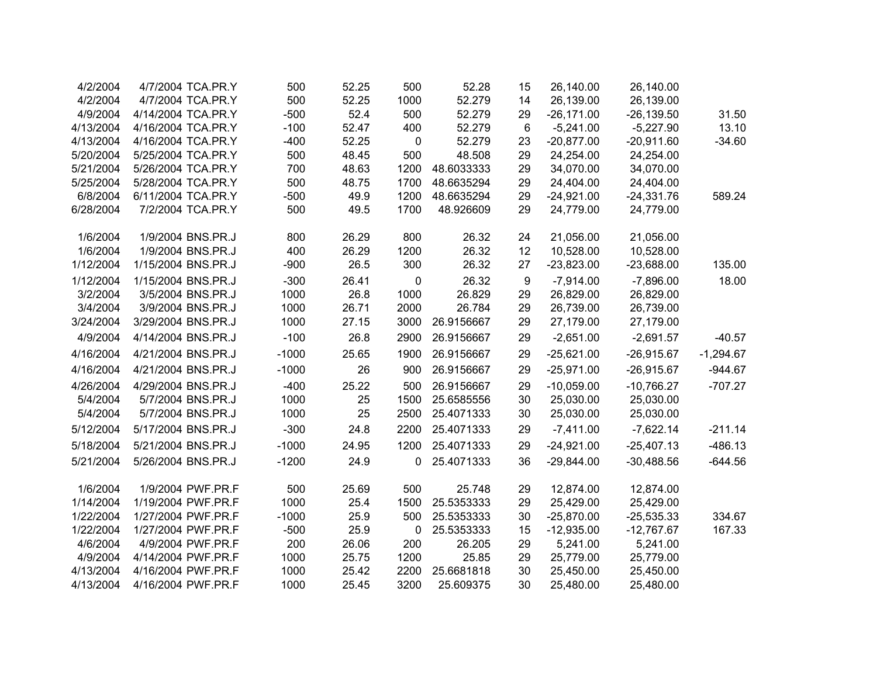| 4/2/2004  | 4/7/2004 TCA.PR.Y  | 500     | 52.25 | 500         | 52.28      | 15               | 26,140.00    | 26,140.00     |             |
|-----------|--------------------|---------|-------|-------------|------------|------------------|--------------|---------------|-------------|
| 4/2/2004  | 4/7/2004 TCA.PR.Y  | 500     | 52.25 | 1000        | 52.279     | 14               | 26,139.00    | 26,139.00     |             |
| 4/9/2004  | 4/14/2004 TCA.PR.Y | $-500$  | 52.4  | 500         | 52.279     | 29               | $-26,171.00$ | $-26, 139.50$ | 31.50       |
| 4/13/2004 | 4/16/2004 TCA.PR.Y | $-100$  | 52.47 | 400         | 52.279     | 6                | $-5,241.00$  | $-5,227.90$   | 13.10       |
| 4/13/2004 | 4/16/2004 TCA.PR.Y | $-400$  | 52.25 | $\mathbf 0$ | 52.279     | 23               | $-20,877.00$ | $-20,911.60$  | $-34.60$    |
| 5/20/2004 | 5/25/2004 TCA.PR.Y | 500     | 48.45 | 500         | 48.508     | 29               | 24,254.00    | 24,254.00     |             |
| 5/21/2004 | 5/26/2004 TCA.PR.Y | 700     | 48.63 | 1200        | 48.6033333 | 29               | 34,070.00    | 34,070.00     |             |
| 5/25/2004 | 5/28/2004 TCA.PR.Y | 500     | 48.75 | 1700        | 48.6635294 | 29               | 24,404.00    | 24,404.00     |             |
| 6/8/2004  | 6/11/2004 TCA.PR.Y | $-500$  | 49.9  | 1200        | 48.6635294 | 29               | $-24,921.00$ | $-24,331.76$  | 589.24      |
| 6/28/2004 | 7/2/2004 TCA.PR.Y  | 500     | 49.5  | 1700        | 48.926609  | 29               | 24,779.00    | 24,779.00     |             |
| 1/6/2004  | 1/9/2004 BNS.PR.J  | 800     | 26.29 | 800         | 26.32      | 24               | 21,056.00    | 21,056.00     |             |
| 1/6/2004  | 1/9/2004 BNS.PR.J  | 400     | 26.29 | 1200        | 26.32      | 12               | 10,528.00    | 10,528.00     |             |
| 1/12/2004 | 1/15/2004 BNS.PR.J | $-900$  | 26.5  | 300         | 26.32      | 27               | $-23,823.00$ | $-23,688.00$  | 135.00      |
| 1/12/2004 | 1/15/2004 BNS.PR.J | $-300$  | 26.41 | 0           | 26.32      | $\boldsymbol{9}$ | $-7,914.00$  | $-7,896.00$   | 18.00       |
| 3/2/2004  | 3/5/2004 BNS.PR.J  | 1000    | 26.8  | 1000        | 26.829     | 29               | 26,829.00    | 26,829.00     |             |
| 3/4/2004  | 3/9/2004 BNS.PR.J  | 1000    | 26.71 | 2000        | 26.784     | 29               | 26,739.00    | 26,739.00     |             |
| 3/24/2004 | 3/29/2004 BNS.PR.J | 1000    | 27.15 | 3000        | 26.9156667 | 29               | 27,179.00    | 27,179.00     |             |
| 4/9/2004  | 4/14/2004 BNS.PR.J | $-100$  | 26.8  | 2900        | 26.9156667 | 29               | $-2,651.00$  | $-2,691.57$   | $-40.57$    |
| 4/16/2004 | 4/21/2004 BNS.PR.J | $-1000$ | 25.65 | 1900        | 26.9156667 | 29               | $-25,621.00$ | $-26,915.67$  | $-1,294.67$ |
| 4/16/2004 | 4/21/2004 BNS.PR.J | $-1000$ | 26    | 900         | 26.9156667 | 29               | $-25,971.00$ | $-26,915.67$  | $-944.67$   |
| 4/26/2004 | 4/29/2004 BNS.PR.J | $-400$  | 25.22 | 500         | 26.9156667 | 29               | $-10,059.00$ | $-10,766.27$  | $-707.27$   |
| 5/4/2004  | 5/7/2004 BNS.PR.J  | 1000    | 25    | 1500        | 25.6585556 | 30               | 25,030.00    | 25,030.00     |             |
| 5/4/2004  | 5/7/2004 BNS.PR.J  | 1000    | 25    | 2500        | 25.4071333 | 30               | 25,030.00    | 25,030.00     |             |
| 5/12/2004 | 5/17/2004 BNS.PR.J | $-300$  | 24.8  | 2200        | 25.4071333 | 29               | $-7,411.00$  | $-7,622.14$   | $-211.14$   |
| 5/18/2004 | 5/21/2004 BNS.PR.J | $-1000$ | 24.95 | 1200        | 25.4071333 | 29               | $-24,921.00$ | $-25,407.13$  | $-486.13$   |
| 5/21/2004 | 5/26/2004 BNS.PR.J | $-1200$ | 24.9  | 0           | 25.4071333 | 36               | $-29,844.00$ | $-30,488.56$  | $-644.56$   |
| 1/6/2004  | 1/9/2004 PWF.PR.F  | 500     | 25.69 | 500         | 25.748     | 29               | 12,874.00    | 12,874.00     |             |
| 1/14/2004 | 1/19/2004 PWF.PR.F | 1000    | 25.4  | 1500        | 25.5353333 | 29               | 25,429.00    | 25,429.00     |             |
| 1/22/2004 | 1/27/2004 PWF.PR.F | $-1000$ | 25.9  | 500         | 25.5353333 | 30               | $-25,870.00$ | $-25,535.33$  | 334.67      |
| 1/22/2004 | 1/27/2004 PWF.PR.F | $-500$  | 25.9  | 0           | 25.5353333 | 15               | $-12,935.00$ | $-12,767.67$  | 167.33      |
| 4/6/2004  | 4/9/2004 PWF.PR.F  | 200     | 26.06 | 200         | 26.205     | 29               | 5,241.00     | 5,241.00      |             |
| 4/9/2004  | 4/14/2004 PWF.PR.F | 1000    | 25.75 | 1200        | 25.85      | 29               | 25,779.00    | 25,779.00     |             |
| 4/13/2004 | 4/16/2004 PWF.PR.F | 1000    | 25.42 | 2200        | 25.6681818 | 30               | 25,450.00    | 25,450.00     |             |
| 4/13/2004 | 4/16/2004 PWF.PR.F | 1000    | 25.45 | 3200        | 25.609375  | 30               | 25,480.00    | 25,480.00     |             |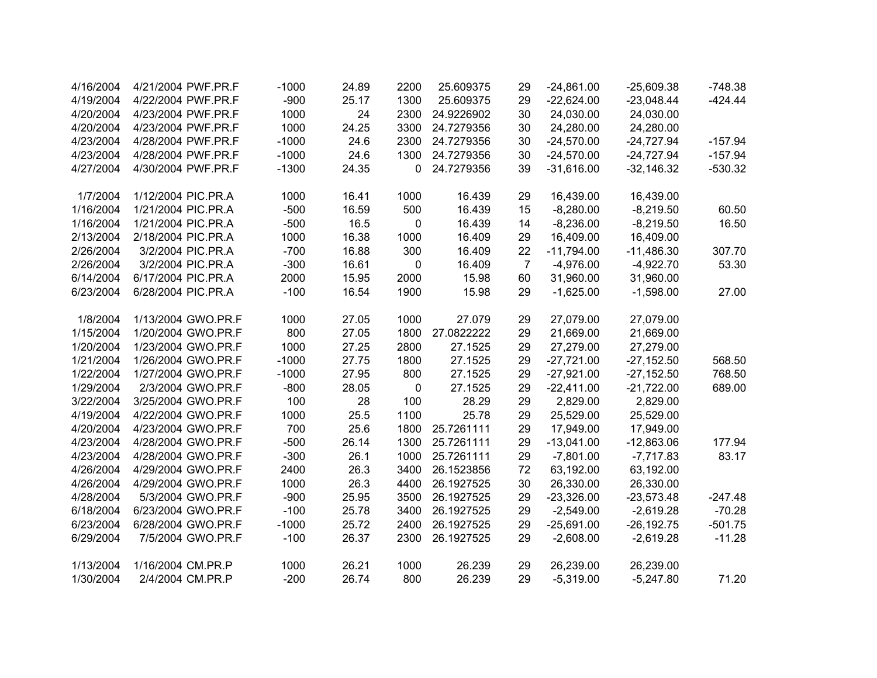| 4/16/2004 | 4/21/2004 PWF.PR.F | $-1000$ | 24.89 | 2200        | 25.609375  | 29             | $-24,861.00$ | $-25,609.38$  | $-748.38$ |
|-----------|--------------------|---------|-------|-------------|------------|----------------|--------------|---------------|-----------|
| 4/19/2004 | 4/22/2004 PWF.PR.F | $-900$  | 25.17 | 1300        | 25.609375  | 29             | $-22,624.00$ | $-23,048.44$  | $-424.44$ |
| 4/20/2004 | 4/23/2004 PWF.PR.F | 1000    | 24    | 2300        | 24.9226902 | 30             | 24,030.00    | 24,030.00     |           |
| 4/20/2004 | 4/23/2004 PWF.PR.F | 1000    | 24.25 | 3300        | 24.7279356 | 30             | 24,280.00    | 24,280.00     |           |
| 4/23/2004 | 4/28/2004 PWF.PR.F | $-1000$ | 24.6  | 2300        | 24.7279356 | 30             | $-24,570.00$ | $-24,727.94$  | $-157.94$ |
| 4/23/2004 | 4/28/2004 PWF.PR.F | $-1000$ | 24.6  | 1300        | 24.7279356 | 30             | $-24,570.00$ | $-24,727.94$  | $-157.94$ |
| 4/27/2004 | 4/30/2004 PWF.PR.F | $-1300$ | 24.35 | 0           | 24.7279356 | 39             | $-31,616.00$ | $-32,146.32$  | $-530.32$ |
| 1/7/2004  | 1/12/2004 PIC.PR.A | 1000    | 16.41 | 1000        | 16.439     | 29             | 16,439.00    | 16,439.00     |           |
| 1/16/2004 | 1/21/2004 PIC.PR.A | $-500$  | 16.59 | 500         | 16.439     | 15             | $-8,280.00$  | $-8,219.50$   | 60.50     |
| 1/16/2004 | 1/21/2004 PIC.PR.A | $-500$  | 16.5  | $\mathbf 0$ | 16.439     | 14             | $-8,236.00$  | $-8,219.50$   | 16.50     |
| 2/13/2004 | 2/18/2004 PIC.PR.A | 1000    | 16.38 | 1000        | 16.409     | 29             | 16,409.00    | 16,409.00     |           |
| 2/26/2004 | 3/2/2004 PIC.PR.A  | $-700$  | 16.88 | 300         | 16.409     | 22             | $-11,794.00$ | $-11,486.30$  | 307.70    |
| 2/26/2004 | 3/2/2004 PIC.PR.A  | $-300$  | 16.61 | $\mathbf 0$ | 16.409     | $\overline{7}$ | $-4,976.00$  | $-4,922.70$   | 53.30     |
| 6/14/2004 | 6/17/2004 PIC.PR.A | 2000    | 15.95 | 2000        | 15.98      | 60             | 31,960.00    | 31,960.00     |           |
| 6/23/2004 | 6/28/2004 PIC.PR.A | $-100$  | 16.54 | 1900        | 15.98      | 29             | $-1,625.00$  | $-1,598.00$   | 27.00     |
| 1/8/2004  | 1/13/2004 GWO.PR.F | 1000    | 27.05 | 1000        | 27.079     | 29             | 27,079.00    | 27,079.00     |           |
| 1/15/2004 | 1/20/2004 GWO.PR.F | 800     | 27.05 | 1800        | 27.0822222 | 29             | 21,669.00    | 21,669.00     |           |
| 1/20/2004 | 1/23/2004 GWO.PR.F | 1000    | 27.25 | 2800        | 27.1525    | 29             | 27,279.00    | 27,279.00     |           |
| 1/21/2004 | 1/26/2004 GWO.PR.F | $-1000$ | 27.75 | 1800        | 27.1525    | 29             | $-27,721.00$ | $-27,152.50$  | 568.50    |
| 1/22/2004 | 1/27/2004 GWO.PR.F | $-1000$ | 27.95 | 800         | 27.1525    | 29             | $-27,921.00$ | $-27,152.50$  | 768.50    |
| 1/29/2004 | 2/3/2004 GWO.PR.F  | $-800$  | 28.05 | 0           | 27.1525    | 29             | $-22,411.00$ | $-21,722.00$  | 689.00    |
| 3/22/2004 | 3/25/2004 GWO.PR.F | 100     | 28    | 100         | 28.29      | 29             | 2,829.00     | 2,829.00      |           |
| 4/19/2004 | 4/22/2004 GWO.PR.F | 1000    | 25.5  | 1100        | 25.78      | 29             | 25,529.00    | 25,529.00     |           |
| 4/20/2004 | 4/23/2004 GWO.PR.F | 700     | 25.6  | 1800        | 25.7261111 | 29             | 17,949.00    | 17,949.00     |           |
| 4/23/2004 | 4/28/2004 GWO.PR.F | $-500$  | 26.14 | 1300        | 25.7261111 | 29             | $-13,041.00$ | $-12,863.06$  | 177.94    |
| 4/23/2004 | 4/28/2004 GWO.PR.F | $-300$  | 26.1  | 1000        | 25.7261111 | 29             | $-7,801.00$  | $-7,717.83$   | 83.17     |
| 4/26/2004 | 4/29/2004 GWO.PR.F | 2400    | 26.3  | 3400        | 26.1523856 | 72             | 63,192.00    | 63,192.00     |           |
| 4/26/2004 | 4/29/2004 GWO.PR.F | 1000    | 26.3  | 4400        | 26.1927525 | 30             | 26,330.00    | 26,330.00     |           |
| 4/28/2004 | 5/3/2004 GWO.PR.F  | $-900$  | 25.95 | 3500        | 26.1927525 | 29             | $-23,326.00$ | $-23,573.48$  | $-247.48$ |
| 6/18/2004 | 6/23/2004 GWO.PR.F | $-100$  | 25.78 | 3400        | 26.1927525 | 29             | $-2,549.00$  | $-2,619.28$   | $-70.28$  |
| 6/23/2004 | 6/28/2004 GWO.PR.F | $-1000$ | 25.72 | 2400        | 26.1927525 | 29             | $-25,691.00$ | $-26, 192.75$ | $-501.75$ |
| 6/29/2004 | 7/5/2004 GWO.PR.F  | $-100$  | 26.37 | 2300        | 26.1927525 | 29             | $-2,608.00$  | $-2,619.28$   | $-11.28$  |
| 1/13/2004 | 1/16/2004 CM.PR.P  | 1000    | 26.21 | 1000        | 26.239     | 29             | 26,239.00    | 26,239.00     |           |
| 1/30/2004 | 2/4/2004 CM.PR.P   | $-200$  | 26.74 | 800         | 26.239     | 29             | $-5,319.00$  | $-5,247.80$   | 71.20     |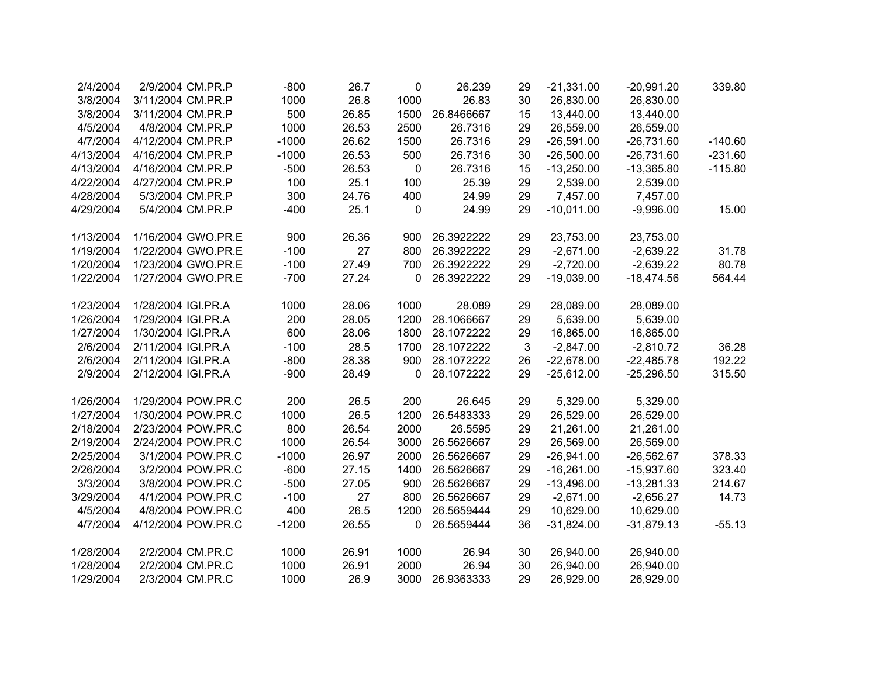| 2/4/2004  | 2/9/2004 CM.PR.P   | $-800$  | 26.7  | 0         | 26.239     | 29 | $-21,331.00$ | $-20,991.20$ | 339.80    |
|-----------|--------------------|---------|-------|-----------|------------|----|--------------|--------------|-----------|
| 3/8/2004  | 3/11/2004 CM.PR.P  | 1000    | 26.8  | 1000      | 26.83      | 30 | 26,830.00    | 26,830.00    |           |
| 3/8/2004  | 3/11/2004 CM.PR.P  | 500     | 26.85 | 1500      | 26.8466667 | 15 | 13,440.00    | 13,440.00    |           |
| 4/5/2004  | 4/8/2004 CM.PR.P   | 1000    | 26.53 | 2500      | 26.7316    | 29 | 26,559.00    | 26,559.00    |           |
| 4/7/2004  | 4/12/2004 CM.PR.P  | $-1000$ | 26.62 | 1500      | 26.7316    | 29 | $-26,591.00$ | $-26,731.60$ | $-140.60$ |
| 4/13/2004 | 4/16/2004 CM.PR.P  | $-1000$ | 26.53 | 500       | 26.7316    | 30 | $-26,500.00$ | $-26,731.60$ | $-231.60$ |
| 4/13/2004 | 4/16/2004 CM.PR.P  | $-500$  | 26.53 | 0         | 26.7316    | 15 | $-13,250.00$ | $-13,365.80$ | $-115.80$ |
| 4/22/2004 | 4/27/2004 CM.PR.P  | 100     | 25.1  | 100       | 25.39      | 29 | 2,539.00     | 2,539.00     |           |
| 4/28/2004 | 5/3/2004 CM.PR.P   | 300     | 24.76 | 400       | 24.99      | 29 | 7,457.00     | 7,457.00     |           |
| 4/29/2004 | 5/4/2004 CM.PR.P   | $-400$  | 25.1  | $\pmb{0}$ | 24.99      | 29 | $-10,011.00$ | $-9,996.00$  | 15.00     |
| 1/13/2004 | 1/16/2004 GWO.PR.E | 900     | 26.36 | 900       | 26.3922222 | 29 | 23,753.00    | 23,753.00    |           |
| 1/19/2004 | 1/22/2004 GWO.PR.E | $-100$  | 27    | 800       | 26.3922222 | 29 | $-2,671.00$  | $-2,639.22$  | 31.78     |
| 1/20/2004 | 1/23/2004 GWO.PR.E | $-100$  | 27.49 | 700       | 26.3922222 | 29 | $-2,720.00$  | $-2,639.22$  | 80.78     |
| 1/22/2004 | 1/27/2004 GWO.PR.E | $-700$  | 27.24 | 0         | 26.3922222 | 29 | $-19,039.00$ | $-18,474.56$ | 564.44    |
| 1/23/2004 | 1/28/2004 IGI.PR.A | 1000    | 28.06 | 1000      | 28.089     | 29 | 28,089.00    | 28,089.00    |           |
| 1/26/2004 | 1/29/2004 IGI.PR.A | 200     | 28.05 | 1200      | 28.1066667 | 29 | 5,639.00     | 5,639.00     |           |
| 1/27/2004 | 1/30/2004 IGI.PR.A | 600     | 28.06 | 1800      | 28.1072222 | 29 | 16,865.00    | 16,865.00    |           |
| 2/6/2004  | 2/11/2004 IGI.PR.A | $-100$  | 28.5  | 1700      | 28.1072222 | 3  | $-2,847.00$  | $-2,810.72$  | 36.28     |
| 2/6/2004  | 2/11/2004 IGI.PR.A | $-800$  | 28.38 | 900       | 28.1072222 | 26 | $-22,678.00$ | $-22,485.78$ | 192.22    |
| 2/9/2004  | 2/12/2004 IGI.PR.A | $-900$  | 28.49 | 0         | 28.1072222 | 29 | $-25,612.00$ | $-25,296.50$ | 315.50    |
| 1/26/2004 | 1/29/2004 POW.PR.C | 200     | 26.5  | 200       | 26.645     | 29 | 5,329.00     | 5,329.00     |           |
| 1/27/2004 | 1/30/2004 POW.PR.C | 1000    | 26.5  | 1200      | 26.5483333 | 29 | 26,529.00    | 26,529.00    |           |
| 2/18/2004 | 2/23/2004 POW.PR.C | 800     | 26.54 | 2000      | 26.5595    | 29 | 21,261.00    | 21,261.00    |           |
| 2/19/2004 | 2/24/2004 POW.PR.C | 1000    | 26.54 | 3000      | 26.5626667 | 29 | 26,569.00    | 26,569.00    |           |
| 2/25/2004 | 3/1/2004 POW.PR.C  | $-1000$ | 26.97 | 2000      | 26.5626667 | 29 | $-26,941.00$ | $-26,562.67$ | 378.33    |
| 2/26/2004 | 3/2/2004 POW.PR.C  | $-600$  | 27.15 | 1400      | 26.5626667 | 29 | $-16,261.00$ | $-15,937.60$ | 323.40    |
| 3/3/2004  | 3/8/2004 POW.PR.C  | $-500$  | 27.05 | 900       | 26.5626667 | 29 | $-13,496.00$ | $-13,281.33$ | 214.67    |
| 3/29/2004 | 4/1/2004 POW.PR.C  | $-100$  | 27    | 800       | 26.5626667 | 29 | $-2,671.00$  | $-2,656.27$  | 14.73     |
| 4/5/2004  | 4/8/2004 POW.PR.C  | 400     | 26.5  | 1200      | 26.5659444 | 29 | 10,629.00    | 10,629.00    |           |
| 4/7/2004  | 4/12/2004 POW.PR.C | $-1200$ | 26.55 | 0         | 26.5659444 | 36 | $-31,824.00$ | $-31,879.13$ | $-55.13$  |
| 1/28/2004 | 2/2/2004 CM.PR.C   | 1000    | 26.91 | 1000      | 26.94      | 30 | 26,940.00    | 26,940.00    |           |
| 1/28/2004 | 2/2/2004 CM.PR.C   | 1000    | 26.91 | 2000      | 26.94      | 30 | 26,940.00    | 26,940.00    |           |
| 1/29/2004 | 2/3/2004 CM.PR.C   | 1000    | 26.9  | 3000      | 26.9363333 | 29 | 26,929.00    | 26,929.00    |           |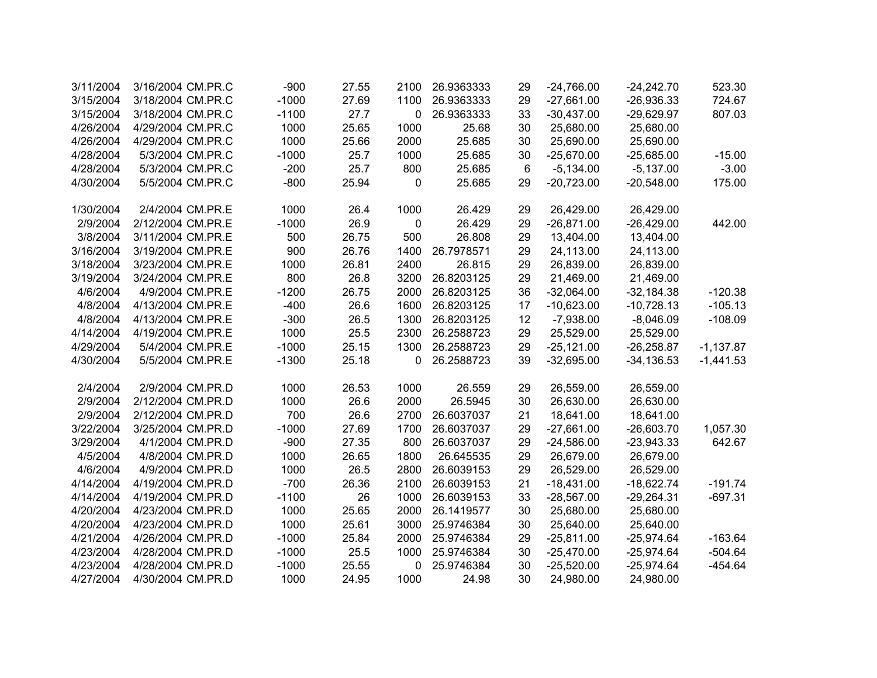| 3/11/2004 | 3/16/2004 CM.PR.C | $-900$  | 27.55 | 2100 | 26.9363333 | 29 | $-24,766.00$ | $-24,242.70$  | 523.30      |
|-----------|-------------------|---------|-------|------|------------|----|--------------|---------------|-------------|
| 3/15/2004 | 3/18/2004 CM.PR.C | $-1000$ | 27.69 | 1100 | 26.9363333 | 29 | $-27,661.00$ | $-26,936.33$  | 724.67      |
| 3/15/2004 | 3/18/2004 CM.PR.C | $-1100$ | 27.7  | 0    | 26.9363333 | 33 | $-30,437.00$ | $-29,629.97$  | 807.03      |
| 4/26/2004 | 4/29/2004 CM.PR.C | 1000    | 25.65 | 1000 | 25.68      | 30 | 25,680.00    | 25,680.00     |             |
| 4/26/2004 | 4/29/2004 CM.PR.C | 1000    | 25.66 | 2000 | 25.685     | 30 | 25,690.00    | 25,690.00     |             |
| 4/28/2004 | 5/3/2004 CM.PR.C  | $-1000$ | 25.7  | 1000 | 25.685     | 30 | $-25,670.00$ | $-25,685.00$  | $-15.00$    |
| 4/28/2004 | 5/3/2004 CM.PR.C  | $-200$  | 25.7  | 800  | 25.685     | 6  | $-5,134.00$  | $-5,137.00$   | $-3.00$     |
| 4/30/2004 | 5/5/2004 CM.PR.C  | $-800$  | 25.94 | 0    | 25.685     | 29 | $-20,723.00$ | $-20,548.00$  | 175.00      |
| 1/30/2004 | 2/4/2004 CM.PR.E  | 1000    | 26.4  | 1000 | 26.429     | 29 | 26,429.00    | 26,429.00     |             |
| 2/9/2004  | 2/12/2004 CM.PR.E | $-1000$ | 26.9  | 0    | 26.429     | 29 | $-26,871.00$ | $-26,429.00$  | 442.00      |
| 3/8/2004  | 3/11/2004 CM.PR.E | 500     | 26.75 | 500  | 26.808     | 29 | 13,404.00    | 13,404.00     |             |
| 3/16/2004 | 3/19/2004 CM.PR.E | 900     | 26.76 | 1400 | 26.7978571 | 29 | 24,113.00    | 24,113.00     |             |
| 3/18/2004 | 3/23/2004 CM.PR.E | 1000    | 26.81 | 2400 | 26.815     | 29 | 26,839.00    | 26,839.00     |             |
| 3/19/2004 | 3/24/2004 CM.PR.E | 800     | 26.8  | 3200 | 26.8203125 | 29 | 21,469.00    | 21,469.00     |             |
| 4/6/2004  | 4/9/2004 CM.PR.E  | $-1200$ | 26.75 | 2000 | 26.8203125 | 36 | $-32,064.00$ | $-32,184.38$  | $-120.38$   |
| 4/8/2004  | 4/13/2004 CM.PR.E | $-400$  | 26.6  | 1600 | 26.8203125 | 17 | $-10,623.00$ | $-10,728.13$  | $-105.13$   |
| 4/8/2004  | 4/13/2004 CM.PR.E | $-300$  | 26.5  | 1300 | 26.8203125 | 12 | $-7,938.00$  | $-8,046.09$   | $-108.09$   |
| 4/14/2004 | 4/19/2004 CM.PR.E | 1000    | 25.5  | 2300 | 26.2588723 | 29 | 25,529.00    | 25,529.00     |             |
| 4/29/2004 | 5/4/2004 CM.PR.E  | $-1000$ | 25.15 | 1300 | 26.2588723 | 29 | $-25,121.00$ | $-26,258.87$  | $-1,137.87$ |
| 4/30/2004 | 5/5/2004 CM.PR.E  | $-1300$ | 25.18 | 0    | 26.2588723 | 39 | $-32,695.00$ | $-34, 136.53$ | $-1,441.53$ |
| 2/4/2004  | 2/9/2004 CM.PR.D  | 1000    | 26.53 | 1000 | 26.559     | 29 | 26,559.00    | 26,559.00     |             |
| 2/9/2004  | 2/12/2004 CM.PR.D | 1000    | 26.6  | 2000 | 26.5945    | 30 | 26,630.00    | 26,630.00     |             |
| 2/9/2004  | 2/12/2004 CM.PR.D | 700     | 26.6  | 2700 | 26.6037037 | 21 | 18,641.00    | 18,641.00     |             |
| 3/22/2004 | 3/25/2004 CM.PR.D | $-1000$ | 27.69 | 1700 | 26.6037037 | 29 | $-27,661.00$ | $-26,603.70$  | 1,057.30    |
| 3/29/2004 | 4/1/2004 CM.PR.D  | $-900$  | 27.35 | 800  | 26.6037037 | 29 | $-24,586.00$ | $-23,943.33$  | 642.67      |
| 4/5/2004  | 4/8/2004 CM.PR.D  | 1000    | 26.65 | 1800 | 26.645535  | 29 | 26,679.00    | 26,679.00     |             |
| 4/6/2004  | 4/9/2004 CM.PR.D  | 1000    | 26.5  | 2800 | 26.6039153 | 29 | 26,529.00    | 26,529.00     |             |
| 4/14/2004 | 4/19/2004 CM.PR.D | $-700$  | 26.36 | 2100 | 26.6039153 | 21 | $-18,431.00$ | $-18,622.74$  | $-191.74$   |
| 4/14/2004 | 4/19/2004 CM.PR.D | $-1100$ | 26    | 1000 | 26.6039153 | 33 | $-28,567.00$ | $-29,264.31$  | $-697.31$   |
| 4/20/2004 | 4/23/2004 CM.PR.D | 1000    | 25.65 | 2000 | 26.1419577 | 30 | 25,680.00    | 25,680.00     |             |
| 4/20/2004 | 4/23/2004 CM.PR.D | 1000    | 25.61 | 3000 | 25.9746384 | 30 | 25,640.00    | 25,640.00     |             |
| 4/21/2004 | 4/26/2004 CM.PR.D | $-1000$ | 25.84 | 2000 | 25.9746384 | 29 | $-25,811.00$ | $-25,974.64$  | $-163.64$   |
| 4/23/2004 | 4/28/2004 CM.PR.D | $-1000$ | 25.5  | 1000 | 25.9746384 | 30 | $-25,470.00$ | $-25,974.64$  | $-504.64$   |
| 4/23/2004 | 4/28/2004 CM.PR.D | $-1000$ | 25.55 | 0    | 25.9746384 | 30 | $-25,520.00$ | $-25,974.64$  | $-454.64$   |
| 4/27/2004 | 4/30/2004 CM.PR.D | 1000    | 24.95 | 1000 | 24.98      | 30 | 24,980.00    | 24,980.00     |             |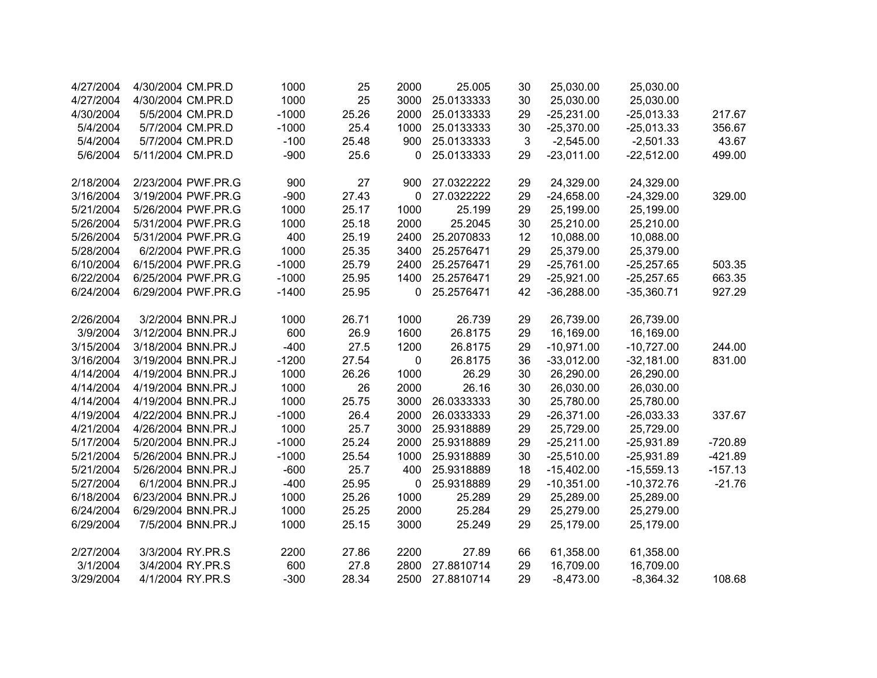| 4/27/2004 | 4/30/2004 CM.PR.D  | 1000    | 25    | 2000 | 25.005     | 30 | 25,030.00    | 25,030.00    |           |
|-----------|--------------------|---------|-------|------|------------|----|--------------|--------------|-----------|
| 4/27/2004 | 4/30/2004 CM.PR.D  | 1000    | 25    | 3000 | 25.0133333 | 30 | 25,030.00    | 25,030.00    |           |
| 4/30/2004 | 5/5/2004 CM.PR.D   | $-1000$ | 25.26 | 2000 | 25.0133333 | 29 | $-25,231.00$ | $-25,013.33$ | 217.67    |
| 5/4/2004  | 5/7/2004 CM.PR.D   | $-1000$ | 25.4  | 1000 | 25.0133333 | 30 | $-25,370.00$ | $-25,013.33$ | 356.67    |
| 5/4/2004  | 5/7/2004 CM.PR.D   | $-100$  | 25.48 | 900  | 25.0133333 | 3  | $-2,545.00$  | $-2,501.33$  | 43.67     |
| 5/6/2004  | 5/11/2004 CM.PR.D  | $-900$  | 25.6  | 0    | 25.0133333 | 29 | $-23,011.00$ | $-22,512.00$ | 499.00    |
|           |                    |         |       |      |            |    |              |              |           |
| 2/18/2004 | 2/23/2004 PWF.PR.G | 900     | 27    | 900  | 27.0322222 | 29 | 24,329.00    | 24,329.00    |           |
| 3/16/2004 | 3/19/2004 PWF.PR.G | $-900$  | 27.43 | 0    | 27.0322222 | 29 | $-24,658.00$ | $-24,329.00$ | 329.00    |
| 5/21/2004 | 5/26/2004 PWF.PR.G | 1000    | 25.17 | 1000 | 25.199     | 29 | 25,199.00    | 25,199.00    |           |
| 5/26/2004 | 5/31/2004 PWF.PR.G | 1000    | 25.18 | 2000 | 25.2045    | 30 | 25,210.00    | 25,210.00    |           |
| 5/26/2004 | 5/31/2004 PWF.PR.G | 400     | 25.19 | 2400 | 25.2070833 | 12 | 10,088.00    | 10,088.00    |           |
| 5/28/2004 | 6/2/2004 PWF.PR.G  | 1000    | 25.35 | 3400 | 25.2576471 | 29 | 25,379.00    | 25,379.00    |           |
| 6/10/2004 | 6/15/2004 PWF.PR.G | $-1000$ | 25.79 | 2400 | 25.2576471 | 29 | $-25,761.00$ | $-25,257.65$ | 503.35    |
| 6/22/2004 | 6/25/2004 PWF.PR.G | $-1000$ | 25.95 | 1400 | 25.2576471 | 29 | $-25,921.00$ | $-25,257.65$ | 663.35    |
| 6/24/2004 | 6/29/2004 PWF.PR.G | $-1400$ | 25.95 | 0    | 25.2576471 | 42 | $-36,288.00$ | $-35,360.71$ | 927.29    |
|           |                    |         |       |      |            |    |              |              |           |
| 2/26/2004 | 3/2/2004 BNN.PR.J  | 1000    | 26.71 | 1000 | 26.739     | 29 | 26,739.00    | 26,739.00    |           |
| 3/9/2004  | 3/12/2004 BNN.PR.J | 600     | 26.9  | 1600 | 26.8175    | 29 | 16,169.00    | 16,169.00    |           |
| 3/15/2004 | 3/18/2004 BNN.PR.J | $-400$  | 27.5  | 1200 | 26.8175    | 29 | $-10,971.00$ | $-10,727.00$ | 244.00    |
| 3/16/2004 | 3/19/2004 BNN.PR.J | $-1200$ | 27.54 | 0    | 26.8175    | 36 | $-33,012.00$ | $-32,181.00$ | 831.00    |
| 4/14/2004 | 4/19/2004 BNN.PR.J | 1000    | 26.26 | 1000 | 26.29      | 30 | 26,290.00    | 26,290.00    |           |
| 4/14/2004 | 4/19/2004 BNN.PR.J | 1000    | 26    | 2000 | 26.16      | 30 | 26,030.00    | 26,030.00    |           |
| 4/14/2004 | 4/19/2004 BNN.PR.J | 1000    | 25.75 | 3000 | 26.0333333 | 30 | 25,780.00    | 25,780.00    |           |
| 4/19/2004 | 4/22/2004 BNN.PR.J | $-1000$ | 26.4  | 2000 | 26.0333333 | 29 | $-26,371.00$ | $-26,033.33$ | 337.67    |
| 4/21/2004 | 4/26/2004 BNN.PR.J | 1000    | 25.7  | 3000 | 25.9318889 | 29 | 25,729.00    | 25,729.00    |           |
| 5/17/2004 | 5/20/2004 BNN.PR.J | $-1000$ | 25.24 | 2000 | 25.9318889 | 29 | $-25,211.00$ | $-25,931.89$ | $-720.89$ |
| 5/21/2004 | 5/26/2004 BNN.PR.J | $-1000$ | 25.54 | 1000 | 25.9318889 | 30 | $-25,510.00$ | $-25,931.89$ | $-421.89$ |
| 5/21/2004 | 5/26/2004 BNN.PR.J | $-600$  | 25.7  | 400  | 25.9318889 | 18 | $-15,402.00$ | $-15,559.13$ | $-157.13$ |
| 5/27/2004 | 6/1/2004 BNN.PR.J  | $-400$  | 25.95 | 0    | 25.9318889 | 29 | $-10,351.00$ | $-10,372.76$ | $-21.76$  |
| 6/18/2004 | 6/23/2004 BNN.PR.J | 1000    | 25.26 | 1000 | 25.289     | 29 | 25,289.00    | 25,289.00    |           |
| 6/24/2004 | 6/29/2004 BNN.PR.J | 1000    | 25.25 | 2000 | 25.284     | 29 | 25,279.00    | 25,279.00    |           |
| 6/29/2004 | 7/5/2004 BNN.PR.J  | 1000    | 25.15 | 3000 | 25.249     | 29 | 25,179.00    | 25,179.00    |           |
| 2/27/2004 | 3/3/2004 RY.PR.S   | 2200    | 27.86 | 2200 | 27.89      | 66 | 61,358.00    | 61,358.00    |           |
| 3/1/2004  | 3/4/2004 RY.PR.S   | 600     | 27.8  | 2800 | 27.8810714 | 29 | 16,709.00    | 16,709.00    |           |
| 3/29/2004 | 4/1/2004 RY.PR.S   | $-300$  | 28.34 | 2500 | 27.8810714 | 29 |              |              |           |
|           |                    |         |       |      |            |    | $-8,473.00$  | $-8,364.32$  | 108.68    |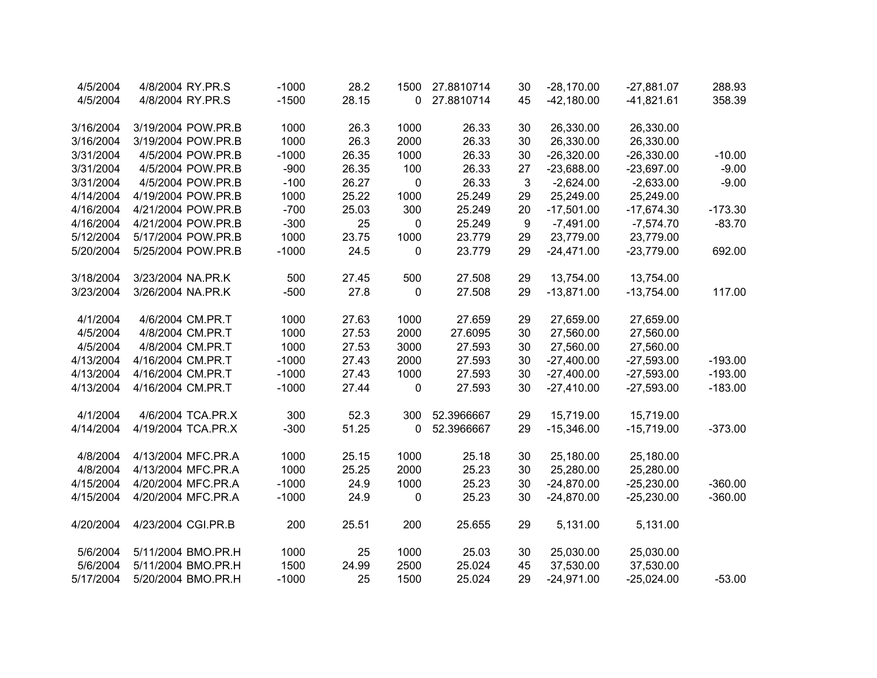| 4/5/2004  | 4/8/2004 RY.PR.S   | $-1000$ | 28.2  | 1500        | 27.8810714 | 30 | $-28,170.00$ | $-27,881.07$ | 288.93    |
|-----------|--------------------|---------|-------|-------------|------------|----|--------------|--------------|-----------|
| 4/5/2004  | 4/8/2004 RY.PR.S   | $-1500$ | 28.15 | 0           | 27.8810714 | 45 | $-42,180.00$ | $-41,821.61$ | 358.39    |
|           |                    |         |       |             |            |    |              |              |           |
| 3/16/2004 | 3/19/2004 POW.PR.B | 1000    | 26.3  | 1000        | 26.33      | 30 | 26,330.00    | 26,330.00    |           |
| 3/16/2004 | 3/19/2004 POW.PR.B | 1000    | 26.3  | 2000        | 26.33      | 30 | 26,330.00    | 26,330.00    |           |
| 3/31/2004 | 4/5/2004 POW.PR.B  | $-1000$ | 26.35 | 1000        | 26.33      | 30 | $-26,320.00$ | $-26,330.00$ | $-10.00$  |
| 3/31/2004 | 4/5/2004 POW.PR.B  | $-900$  | 26.35 | 100         | 26.33      | 27 | $-23,688.00$ | $-23,697.00$ | $-9.00$   |
| 3/31/2004 | 4/5/2004 POW.PR.B  | $-100$  | 26.27 | $\mathbf 0$ | 26.33      | 3  | $-2,624.00$  | $-2,633.00$  | $-9.00$   |
| 4/14/2004 | 4/19/2004 POW.PR.B | 1000    | 25.22 | 1000        | 25.249     | 29 | 25,249.00    | 25,249.00    |           |
| 4/16/2004 | 4/21/2004 POW.PR.B | $-700$  | 25.03 | 300         | 25.249     | 20 | $-17,501.00$ | $-17,674.30$ | $-173.30$ |
| 4/16/2004 | 4/21/2004 POW.PR.B | $-300$  | 25    | 0           | 25.249     | 9  | $-7,491.00$  | $-7,574.70$  | $-83.70$  |
| 5/12/2004 | 5/17/2004 POW.PR.B | 1000    | 23.75 | 1000        | 23.779     | 29 | 23,779.00    | 23,779.00    |           |
| 5/20/2004 | 5/25/2004 POW.PR.B | $-1000$ | 24.5  | 0           | 23.779     | 29 | $-24,471.00$ | $-23,779.00$ | 692.00    |
| 3/18/2004 | 3/23/2004 NA.PR.K  | 500     | 27.45 | 500         | 27.508     | 29 | 13,754.00    | 13,754.00    |           |
| 3/23/2004 | 3/26/2004 NA.PR.K  | $-500$  | 27.8  | 0           | 27.508     | 29 | $-13,871.00$ | $-13,754.00$ | 117.00    |
| 4/1/2004  | 4/6/2004 CM.PR.T   | 1000    | 27.63 | 1000        | 27.659     | 29 | 27,659.00    | 27,659.00    |           |
| 4/5/2004  | 4/8/2004 CM.PR.T   | 1000    | 27.53 | 2000        | 27.6095    | 30 | 27,560.00    | 27,560.00    |           |
| 4/5/2004  | 4/8/2004 CM.PR.T   | 1000    | 27.53 | 3000        | 27.593     | 30 | 27,560.00    | 27,560.00    |           |
| 4/13/2004 | 4/16/2004 CM.PR.T  | $-1000$ | 27.43 | 2000        | 27.593     | 30 | $-27,400.00$ | $-27,593.00$ | $-193.00$ |
| 4/13/2004 | 4/16/2004 CM.PR.T  | $-1000$ | 27.43 | 1000        | 27.593     | 30 | $-27,400.00$ | $-27,593.00$ | $-193.00$ |
| 4/13/2004 | 4/16/2004 CM.PR.T  | $-1000$ | 27.44 | 0           | 27.593     | 30 | $-27,410.00$ | $-27,593.00$ | $-183.00$ |
| 4/1/2004  | 4/6/2004 TCA.PR.X  | 300     | 52.3  | 300         | 52.3966667 | 29 | 15,719.00    | 15,719.00    |           |
| 4/14/2004 | 4/19/2004 TCA.PR.X | $-300$  | 51.25 | 0           | 52.3966667 | 29 | $-15,346.00$ | $-15,719.00$ | $-373.00$ |
| 4/8/2004  | 4/13/2004 MFC.PR.A | 1000    | 25.15 | 1000        | 25.18      | 30 | 25,180.00    | 25,180.00    |           |
| 4/8/2004  | 4/13/2004 MFC.PR.A | 1000    | 25.25 | 2000        | 25.23      | 30 | 25,280.00    | 25,280.00    |           |
| 4/15/2004 | 4/20/2004 MFC.PR.A | $-1000$ | 24.9  | 1000        | 25.23      | 30 | $-24,870.00$ | $-25,230.00$ | $-360.00$ |
| 4/15/2004 | 4/20/2004 MFC.PR.A | $-1000$ | 24.9  | 0           | 25.23      | 30 | $-24,870.00$ | $-25,230.00$ | $-360.00$ |
| 4/20/2004 | 4/23/2004 CGI.PR.B | 200     | 25.51 | 200         | 25.655     | 29 | 5,131.00     | 5,131.00     |           |
| 5/6/2004  | 5/11/2004 BMO.PR.H | 1000    | 25    | 1000        | 25.03      | 30 | 25,030.00    | 25,030.00    |           |
| 5/6/2004  | 5/11/2004 BMO.PR.H | 1500    | 24.99 | 2500        | 25.024     | 45 | 37,530.00    | 37,530.00    |           |
| 5/17/2004 | 5/20/2004 BMO.PR.H | $-1000$ | 25    | 1500        | 25.024     | 29 | $-24,971.00$ | $-25,024.00$ | $-53.00$  |